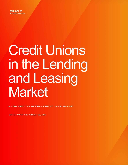**ORACLE**® **Financial Services** 

# Credit Unions in the Lending and Leasing Market

A VIEW INTO THE MODERN CREDIT UNION MARKET

WHITE PAPER / NOVEMBER 29, 2018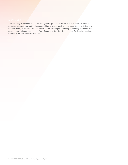The following is intended to outline our general product direction. It is intended for information purposes only, and may not be incorporated into any contract. It is not a commitment to deliver any material, code, or functionality, and should not be relied upon in making purchasing decisions. The development, release, and timing of any features or functionality described for Oracle's products remains at the sole discretion of Oracle.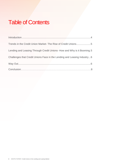## Table of Contents

| Trends in the Credit Union Market- The Rise of Credit Unions5           |
|-------------------------------------------------------------------------|
| Lending and Leasing Through Credit Unions- How and Why is it Booming. 5 |
| Challenges that Credit Unions Face in the Lending and Leasing Industry6 |
|                                                                         |
|                                                                         |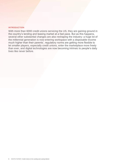### <span id="page-3-0"></span>INTRODUCTION

<span id="page-3-1"></span>With more than 6000 credit unions servicing the US, they are gaining ground in the country's lending and leasing market at a fast pace. But as this happens, several other substantial changes are also reshaping the industry: a huge lot of the millennial generation is now entering workspace with a disposable income much higher than their parents', regulatory norms are getting more flexible to let smaller players, especially credit unions, enter the marketplace more freely than ever, and digital technologies are now becoming intrinsic to people's daily lives like never before.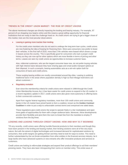#### TRENDS IN THE CREDIT UNION MARKET- THE RISE OF CREDIT UNIONS

The above mentioned changes are directly impacting the lending and leasing industry. For example, 97 percent of car shopping now begins online and this means a great selling opportunity for financial institutions that are ready to take the challenge head on. As credit unions are trying to get a bigger share of this market, here are the most peculiar observations:

#### Leasing is gaining more traction than lending

For the credit union members who do not want to undergo the long term loan cycles, credit unions are now fostering the idea of leasing for financing them. More auto consumers now prefer to lease their vehicles. In the first half of 2016, more than 2 Mn vehicles were leased which shows a surge in leases across the country. This is specifically good for consumers who lack a proper credit history as they can now opt for other options which are more flexible in terms of pricing and other terms. Leases are seen by credit unions as opportunities to increase customer base.

Also, millennial customers, who are the largest consumer base now, do not prefer buying vehicles with high interest loans because they have sharing apps and smart public transport options at their disposal. In such a scenario, leasing automobiles acts as a win-win option both for consumers of loans and credit unions.

These surging leasing entities are mostly concentrated around big cities. Leasing is outdoing traditional loans in the areas where population density is high so that mileage restrictions can attract customers. \*

#### Regulatory evolution

Ever since the membership criteria for credit unions were relaxed in 1998 through the Credit Union Membership Access Act, it has been easier for credit unions to expand in the US market. In a recent regulatory update in 2017, credit unions were also given more autonomy in offering loans to their commercial customers.

Apart from regular federal regulatory mandates, more than 100 credit unions and community banks in the US market have joined hands to form a coalition, known as the **Golden Contract Coalition** in order to put a stop to unfavorable contract terms and overpriced one sided deals.

These regulations give credit unions the scope to operate freely in a fair marketplace and open more gates of opportunities for them with a larger audience base. Moreover, these developments provide them flexibility and give them the room to break free from the mandate to employ IT solutions from the big three.

#### LENDING AND LEASING THROUGH CREDIT UNIONS- HOW AND WHY IS IT BOOMING

Till very recently, credit unions were offering humble financial products to their members and though they have been present in the lending and leasing market, their lending solutions were all of the very basic nature. But with the advent of digital technologies and increased demand for sophisticated solutions by consumers, their profit margins are getting thinner and they need to look for ways to evolve. This need is further substantiated by the cut throat competition from other entities in the financial services industry, be it large banks who have advanced systems or new entrants who offer innovative products and services to customers.

Credit unions are looking to reformulate strategies and expand their product offerings to suit their members' pressing needs. They have also been introspecting their norms on member entry. This entire wave of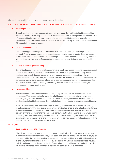change is also inspiring big mergers and acquisitions in the industry.

#### CHALLENGES THAT CREDIT UNIONS FACE IN THE LENDING AND LEASING INDUSTRY

#### Size of operations

Though credit unions have been growing at their own pace, they still lag behind the rest of the industry. They represent only 7.1 percent of all assets and loans of all depository institutions. Most of these credit unions are still extremely small even in contrast to the relatively smaller banks. While the top 10 credit unions own 15 percent of the market, the top 10 banks own approximately 57 percent of the banking market.

#### Limited product portfolios

One of the biggest challenges for credit unions has been the inability to provide products on demand. From overseas payments to specialized commercial banking needs, there are several areas where credit unions still lack well rounded products. Since most credit unions lag behind in latest technology, their ways of underwriting, processing and loan disbursal also remain old school.

#### Inability to provide great servicing

One of the biggest reasons for retail consumers and small businesses choosing banks over credit unions is their relatively low loan approval rates. Moreover, the speed at which they deliver solutions also usually takes a conservative approach as opposed to competitors who are disbursing loans in minutes. Also, during peak seasons, the website and mobile app traffic witness surges and conventional lending systems fail to address the demanding influx. A seamless flow of information across stages of lending and leasing and across channel is also a challenging phenomenon for most credit unions.

#### New competition

Since credit unions lack in the latest technology, they are often not the first choice for small businesses. They prefer opting for loans from full-fledged banks as their digitally advanced technologies give them a sense of confidence. With the new regulation that loosens rules for credit unions to lend to businesses, their market share in commercial lending is expected to grow.

Fintechs that come up with innovative ways of offering products and services are also posing cut throat competition in this market and credit unions are the first ones to take a hit. Lending startups are employing platformification and data based underwriting to ensure relevant and seamless delivery of financial solutions to their millennial consumers. Shadow banking is now a huge chunk of lending business and is eating into credit unions' market share to a great extent. This makes staying relevant even more challenging for credit unions as they require to rethink their underlying technologies to claim the desired market share.

#### WAY OUT

#### Build solutions specific to millennials

Since leasing is gaining more traction in the market than lending, it is imperative to attract more millennials who lack credit history. They have seen their parents undergoing the pain of paying off their EMIs while they admire the alternative financing options. Building trust with millennial can go a long way for credit unions as they look to build broader inroads into financial services industry. Strictly marketing and selling on the basis of price might not be a big attractor and rather service will make a difference. Also, channels of delivery will definitely make a difference.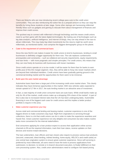There are fintechs who are now introducing recent college pass-outs to the credit union communities. They are also reimbursing the tuition fee as a prepaid amount so they can reap the benefits by hiring these students at later stage. Some other startups are harnessing millennial friendly ideas such as gadgets and gaming to educate them about management of finances and improve their credit scores.

The quickest way to connect with millennial is through technology and this means credit unions need to up their game with the latest digital technologies. By making use of technologies such as big data analytics, artificial intelligence, and internet of things, they can stay ahead in the race to attract millennials, This may imply big initial investments but the returns might be worth since millennials, as mentioned earlier, now comprise the biggest demographic group on the planet.

#### Cater to the requirement of commercial loans

Since the new NUCA rule makes it easier for credit unions to lend to businesses, lending to small businesses is definitely a bigger opportunity for them now. The rule replaces cumbersome prerequisites and constraints— such as collateral and security requirements, equity requirements, and loan limits — with more pragmatic and simpler principles. For credit unions, this means that they can now freely do business with businesses with looser mandates.

Since credit unions operate on a no-tax model, it will be easier for them than for banks to earn profits pout of this thin margin segment. Also, they will be able to foray into newer markets which are beyond their individual members. Credit unions have been gradually gaining ground in the commercial lending market and the opportunities for them seem to be immense.

#### Build upon the auto market advantage

Automotive loans have been a large part of the increasing credit union market share. This clearly indicates they have immense opportunities in this market. With new vehicles sales expected to remain upward of 17 Mn in 2017, the auto lending market is an attractive area of investment.

In fact, a vast majority of credit union consumer loans are auto loans. While small banks make up only for 4% of the market, credit unions make up a whopping 25% share of the market\*. A part of this is also due to increased interest rates that the US has been undergoing lately. Automobile financing is one of the biggest cash cows for credit unions and this implies a better product portfolio is require in this area.

#### Make customer experience your key

Across retail and commercial lending and leasing market, customer experience is one of the biggest drivers to make costumers stay loyal. Right from originations to servicing through collections, there is a lot that credit unions can do in order to make the experience seamless and hassle free. Great customer experience not only delights end consumers but also makes routine tasks more convenient for the internal stakeholders.

End consumers applying for a loan product expect to access their application online across channels to fill out the required information, track their loan status, receive updates on their devices and receive instant decisions.

The loan underwriters, loan officers and loan closers also require to process various loan products (secured, unsecured, direct lending, indirect lending, home equity, HELOC's and credit cards) on one central loan origination system to ensure great customer experience. Since self-servicing is preferred by most millennials, all users need to have the tools to process applications from submission, to decision, to remote or in-branch document execution, to finally fulfillment on their core processing system. Also, credit union administrators need to configure risk-based pricing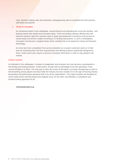rules, decision making rules and automatic routing/queuing rules to streamline the loan process with fewer touchpoints.

#### Thrive on innovation

As mentioned earlier in this whitepaper, several fintechs are disrupting the consumer lending and leasing market with simple and innovative ideas. There are lending startups offering new and relevant solutions right from residual value to hyper personalization of products and services to social media conversions swiftly converting in to lending transactions. In such a marketplace, innovation has become a hygiene factor which certainly has to be backed by robust and futuristic technology.

As more and more competitors from across industries try to poach customers early on in their lives by monitoring their real time requirements and offering products specifically designed for them, credit unions also require to become innovative think tanks in order to stay ahead in the market.

#### **CONCLUSION**

As indicated in this whitepaper, constant re-imagination and evolution has now become a prerequisite in the lending and leasing industry. Credit unions, though with an advantage of tax-fee operations, have several limitations to them. The only way to swim the ocean of disruption is to keep introspecting as well as benchmarking across players not only inside the industry but also outside of it in the age of blurring industry boundaries and performance pressure built in by all the stakeholders. This might translate into flexibility for some credit unions and becoming more digitally savvy for the other, but definitely a competitive and forward looking approach for all.

**\*philadelphiafed.org**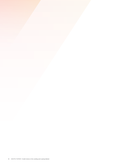WHITE PAPER / Credit Unions in the Lending and Leasing Market